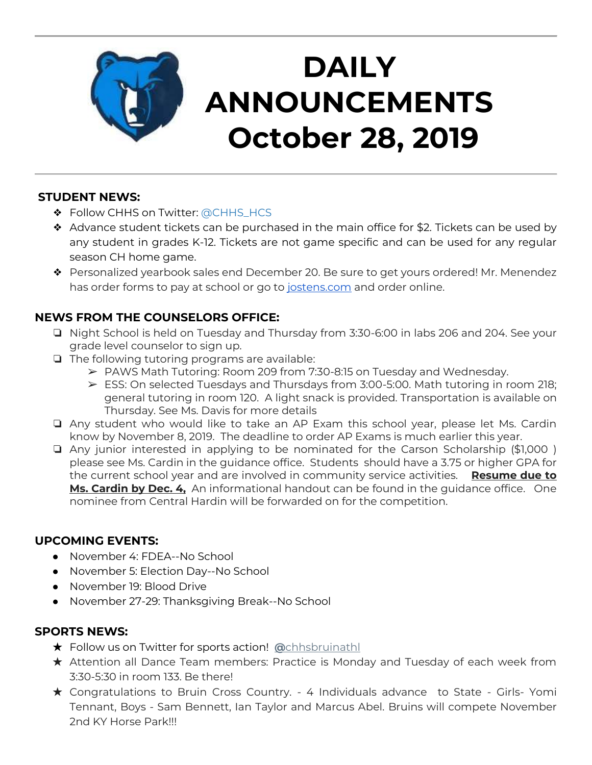

# **DAILY ANNOUNCEMENTS October 28, 2019**

### **STUDENT NEWS:**

- ◆ Follow CHHS on Twitter: [@CHHS\\_HCS](https://twitter.com/CHHS_HCS)
- $\triangleleft$  Advance student tickets can be purchased in the main office for \$2. Tickets can be used by any student in grades K-12. Tickets are not game specific and can be used for any regular season CH home game.
- ❖ Personalized yearbook sales end December 20. Be sure to get yours ordered! Mr. Menendez has order forms to pay at school or go to [jostens.com](http://jostens.com/) and order online.

## **NEWS FROM THE COUNSELORS OFFICE:**

- ❏ Night School is held on Tuesday and Thursday from 3:30-6:00 in labs 206 and 204. See your grade level counselor to sign up.
- ❏ The following tutoring programs are available:
	- ➢ PAWS Math Tutoring: Room 209 from 7:30-8:15 on Tuesday and Wednesday.
	- $\triangleright$  ESS: On selected Tuesdays and Thursdays from 3:00-5:00. Math tutoring in room 218; general tutoring in room 120. A light snack is provided. Transportation is available on Thursday. See Ms. Davis for more details
- ❏ Any student who would like to take an AP Exam this school year, please let Ms. Cardin know by November 8, 2019. The deadline to order AP Exams is much earlier this year.
- ❏ Any junior interested in applying to be nominated for the Carson Scholarship (\$1,000 ) please see Ms. Cardin in the guidance office. Students should have a 3.75 or higher GPA for the current school year and are involved in community service activities. **Resume due to Ms. Cardin by Dec. 4,** An informational handout can be found in the guidance office. One nominee from Central Hardin will be forwarded on for the competition.

#### **UPCOMING EVENTS:**

- November 4: FDEA--No School
- November 5: Election Day--No School
- November 19: Blood Drive
- November 27-29: Thanksgiving Break--No School

#### **SPORTS NEWS:**

- ★ Follow us on Twitter for sports action! **[@](https://twitter.com/chhsbruinathl)**[chhsbruinathl](https://twitter.com/chhsbruinathl)
- ★ Attention all Dance Team members: Practice is Monday and Tuesday of each week from 3:30-5:30 in room 133. Be there!
- ★ Congratulations to Bruin Cross Country. 4 Individuals advance to State Girls- Yomi Tennant, Boys - Sam Bennett, Ian Taylor and Marcus Abel. Bruins will compete November 2nd KY Horse Park!!!